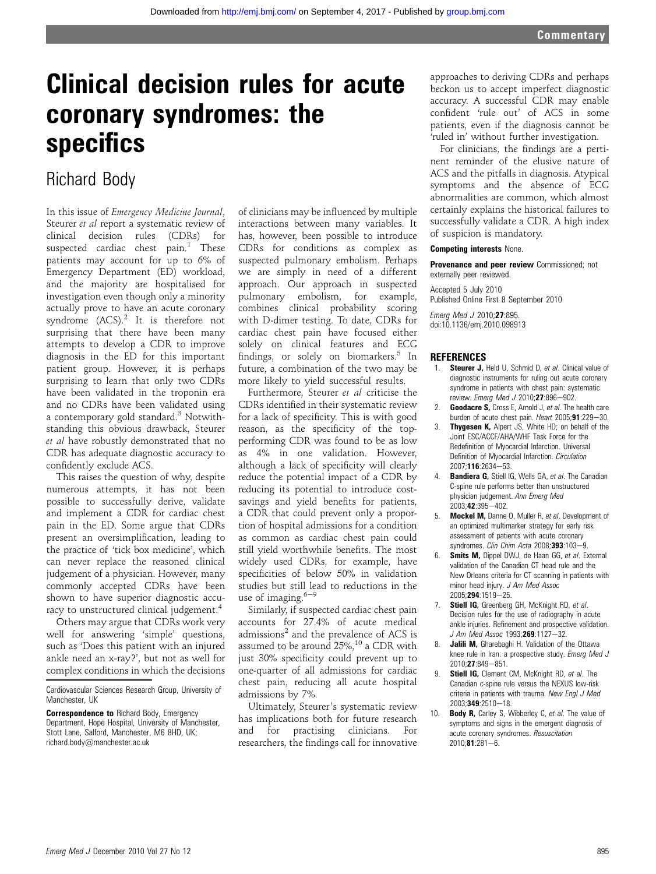# Clinical decision rules for acute coronary syndromes: the specifics

## Richard Body

In this issue of Emergency Medicine Journal, Steurer et al report a systematic review of clinical decision rules (CDRs) for suspected cardiac chest  $\text{pain.}^1$  These patients may account for up to 6% of Emergency Department (ED) workload, and the majority are hospitalised for investigation even though only a minority actually prove to have an acute coronary syndrome  $(ACS)^2$  It is therefore not surprising that there have been many attempts to develop a CDR to improve diagnosis in the ED for this important patient group. However, it is perhaps surprising to learn that only two CDRs have been validated in the troponin era and no CDRs have been validated using a contemporary gold standard.<sup>3</sup> Notwithstanding this obvious drawback, Steurer et al have robustly demonstrated that no CDR has adequate diagnostic accuracy to confidently exclude ACS.

This raises the question of why, despite numerous attempts, it has not been possible to successfully derive, validate and implement a CDR for cardiac chest pain in the ED. Some argue that CDRs present an oversimplification, leading to the practice of 'tick box medicine', which can never replace the reasoned clinical judgement of a physician. However, many commonly accepted CDRs have been shown to have superior diagnostic accuracy to unstructured clinical judgement.<sup>4</sup>

Others may argue that CDRs work very well for answering 'simple' questions, such as 'Does this patient with an injured ankle need an x-ray?', but not as well for complex conditions in which the decisions

of clinicians may be influenced by multiple interactions between many variables. It has, however, been possible to introduce CDRs for conditions as complex as suspected pulmonary embolism. Perhaps we are simply in need of a different approach. Our approach in suspected pulmonary embolism, for example, combines clinical probability scoring with D-dimer testing. To date, CDRs for cardiac chest pain have focused either solely on clinical features and ECG findings, or solely on biomarkers. $5$  In future, a combination of the two may be more likely to yield successful results.

Furthermore, Steurer et al criticise the CDRs identified in their systematic review for a lack of specificity. This is with good reason, as the specificity of the topperforming CDR was found to be as low as 4% in one validation. However, although a lack of specificity will clearly reduce the potential impact of a CDR by reducing its potential to introduce costsavings and yield benefits for patients, a CDR that could prevent only a proportion of hospital admissions for a condition as common as cardiac chest pain could still yield worthwhile benefits. The most widely used CDRs, for example, have specificities of below 50% in validation studies but still lead to reductions in the use of imaging. $6-9$ 

Similarly, if suspected cardiac chest pain accounts for 27.4% of acute medical admissions<sup>2</sup> and the prevalence of ACS is assumed to be around 25%,<sup>10</sup> a CDR with just 30% specificity could prevent up to one-quarter of all admissions for cardiac chest pain, reducing all acute hospital admissions by 7%.

Ultimately, Steurer's systematic review has implications both for future research and for practising clinicians. For researchers, the findings call for innovative

approaches to deriving CDRs and perhaps beckon us to accept imperfect diagnostic accuracy. A successful CDR may enable confident 'rule out' of ACS in some patients, even if the diagnosis cannot be 'ruled in' without further investigation.

For clinicians, the findings are a pertinent reminder of the elusive nature of ACS and the pitfalls in diagnosis. Atypical symptoms and the absence of ECG abnormalities are common, which almost certainly explains the historical failures to successfully validate a CDR. A high index of suspicion is mandatory.

#### Competing interests None.

Provenance and peer review Commissioned; not externally peer reviewed.

Accepted 5 July 2010 Published Online First 8 September 2010

Emerg Med J 2010;27:895. doi:10.1136/emj.2010.098913

#### **REFERENCES**

- 1. **Steurer J,** Held U, Schmid D, et al. Clinical value of diagnostic instruments for ruling out acute coronary syndrome in patients with chest pain: systematic review. Emerg Med J 2010;27:896-902.
- 2. **Goodacre S, Cross E, Arnold J, et al. The health care** burden of acute chest pain. Heart  $2005;91:229-30$ .
- 3. Thygesen K, Alpert JS, White HD; on behalf of the Joint ESC/ACCF/AHA/WHF Task Force for the Redefinition of Myocardial Infarction. Universal Definition of Myocardial Infarction. Circulation 2007;116:2634-53.
- 4. **Bandiera G, Stiell IG, Wells GA, et al. The Canadian** C-spine rule performs better than unstructured physician judgement. Ann Emerg Med 2003;42:395-402.
- 5. Mockel M, Danne O, Muller R, et al. Development of an optimized multimarker strategy for early risk assessment of patients with acute coronary syndromes. Clin Chim Acta 2008;393:103-9.
- 6. **Smits M,** Dippel DWJ, de Haan GG, et al. External validation of the Canadian CT head rule and the New Orleans criteria for CT scanning in patients with minor head injury. J Am Med Assoc 2005;294:1519-25.
- 7. Stiell IG, Greenberg GH, McKnight RD, et al. Decision rules for the use of radiography in acute ankle injuries. Refinement and prospective validation. J Am Med Assoc 1993;269:1127-32.
- 8. **Jalili M,** Gharebaghi H. Validation of the Ottawa knee rule in Iran: a prospective study. Emerg Med J 2010;27:849-851.
- 9. **Stiell IG, Clement CM, McKnight RD, et al. The** Canadian c-spine rule versus the NEXUS low-risk criteria in patients with trauma. New Engl J Med 2003:349:2510-18.
- 10. Body R, Carley S, Wibberley C, et al. The value of symptoms and signs in the emergent diagnosis of acute coronary syndromes. Resuscitation  $2010;81:281-6.$

Cardiovascular Sciences Research Group, University of Manchester, UK

**Correspondence to Richard Body, Emergency** Department, Hope Hospital, University of Manchester, Stott Lane, Salford, Manchester, M6 8HD, UK; richard.body@manchester.ac.uk